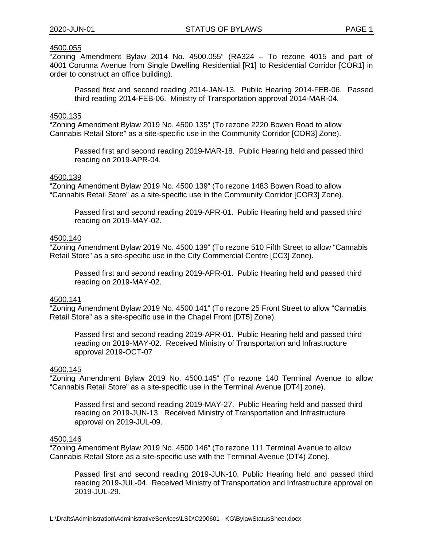"Zoning Amendment Bylaw 2014 No. 4500.055" (RA324 – To rezone 4015 and part of 4001 Corunna Avenue from Single Dwelling Residential [R1] to Residential Corridor [COR1] in order to construct an office building).

Passed first and second reading 2014-JAN-13. Public Hearing 2014-FEB-06. Passed third reading 2014-FEB-06. Ministry of Transportation approval 2014-MAR-04.

#### 4500.135

"Zoning Amendment Bylaw 2019 No. 4500.135" (To rezone 2220 Bowen Road to allow Cannabis Retail Store" as a site-specific use in the Community Corridor [COR3] Zone).

Passed first and second reading 2019-MAR-18. Public Hearing held and passed third reading on 2019-APR-04.

#### 4500.139

"Zoning Amendment Bylaw 2019 No. 4500.139" (To rezone 1483 Bowen Road to allow "Cannabis Retail Store" as a site-specific use in the Community Corridor [COR3] Zone).

Passed first and second reading 2019-APR-01. Public Hearing held and passed third reading on 2019-MAY-02.

#### 4500.140

"Zoning Amendment Bylaw 2019 No. 4500.139" (To rezone 510 Fifth Street to allow "Cannabis Retail Store" as a site-specific use in the City Commercial Centre [CC3] Zone).

Passed first and second reading 2019-APR-01. Public Hearing held and passed third reading on 2019-MAY-02.

### 4500.141

"Zoning Amendment Bylaw 2019 No. 4500.141" (To rezone 25 Front Street to allow "Cannabis Retail Store" as a site-specific use in the Chapel Front [DT5] Zone).

Passed first and second reading 2019-APR-01. Public Hearing held and passed third reading on 2019-MAY-02. Received Ministry of Transportation and Infrastructure approval 2019-OCT-07

### 4500.145

"Zoning Amendment Bylaw 2019 No. 4500.145" (To rezone 140 Terminal Avenue to allow "Cannabis Retail Store" as a site-specific use in the Terminal Avenue [DT4] zone).

Passed first and second reading 2019-MAY-27. Public Hearing held and passed third reading on 2019-JUN-13. Received Ministry of Transportation and Infrastructure approval on 2019-JUL-09.

#### 4500.146

"Zoning Amendment Bylaw 2019 No. 4500.146" (To rezone 111 Terminal Avenue to allow Cannabis Retail Store as a site-specific use with the Terminal Avenue (DT4) Zone).

Passed first and second reading 2019-JUN-10. Public Hearing held and passed third reading 2019-JUL-04. Received Ministry of Transportation and Infrastructure approval on 2019-JUL-29.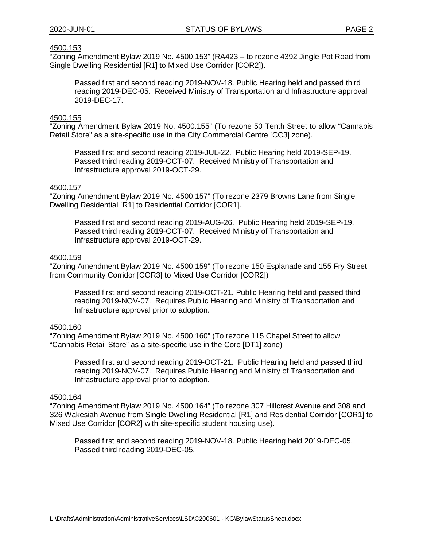"Zoning Amendment Bylaw 2019 No. 4500.153" (RA423 – to rezone 4392 Jingle Pot Road from Single Dwelling Residential [R1] to Mixed Use Corridor [COR2]).

Passed first and second reading 2019-NOV-18. Public Hearing held and passed third reading 2019-DEC-05. Received Ministry of Transportation and Infrastructure approval 2019-DEC-17.

### 4500.155

"Zoning Amendment Bylaw 2019 No. 4500.155" (To rezone 50 Tenth Street to allow "Cannabis Retail Store" as a site-specific use in the City Commercial Centre [CC3] zone).

Passed first and second reading 2019-JUL-22. Public Hearing held 2019-SEP-19. Passed third reading 2019-OCT-07. Received Ministry of Transportation and Infrastructure approval 2019-OCT-29.

### 4500.157

"Zoning Amendment Bylaw 2019 No. 4500.157" (To rezone 2379 Browns Lane from Single Dwelling Residential [R1] to Residential Corridor [COR1].

Passed first and second reading 2019-AUG-26. Public Hearing held 2019-SEP-19. Passed third reading 2019-OCT-07. Received Ministry of Transportation and Infrastructure approval 2019-OCT-29.

# 4500.159

"Zoning Amendment Bylaw 2019 No. 4500.159" (To rezone 150 Esplanade and 155 Fry Street from Community Corridor [COR3] to Mixed Use Corridor [COR2])

Passed first and second reading 2019-OCT-21. Public Hearing held and passed third reading 2019-NOV-07. Requires Public Hearing and Ministry of Transportation and Infrastructure approval prior to adoption.

### 4500.160

"Zoning Amendment Bylaw 2019 No. 4500.160" (To rezone 115 Chapel Street to allow "Cannabis Retail Store" as a site-specific use in the Core [DT1] zone)

Passed first and second reading 2019-OCT-21. Public Hearing held and passed third reading 2019-NOV-07. Requires Public Hearing and Ministry of Transportation and Infrastructure approval prior to adoption.

# 4500.164

"Zoning Amendment Bylaw 2019 No. 4500.164" (To rezone 307 Hillcrest Avenue and 308 and 326 Wakesiah Avenue from Single Dwelling Residential [R1] and Residential Corridor [COR1] to Mixed Use Corridor [COR2] with site-specific student housing use).

Passed first and second reading 2019-NOV-18. Public Hearing held 2019-DEC-05. Passed third reading 2019-DEC-05.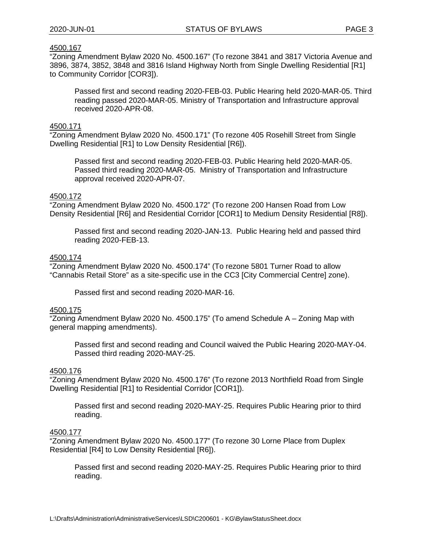"Zoning Amendment Bylaw 2020 No. 4500.167" (To rezone 3841 and 3817 Victoria Avenue and 3896, 3874, 3852, 3848 and 3816 Island Highway North from Single Dwelling Residential [R1] to Community Corridor [COR3]).

Passed first and second reading 2020-FEB-03. Public Hearing held 2020-MAR-05. Third reading passed 2020-MAR-05. Ministry of Transportation and Infrastructure approval received 2020-APR-08.

### 4500.171

"Zoning Amendment Bylaw 2020 No. 4500.171" (To rezone 405 Rosehill Street from Single Dwelling Residential [R1] to Low Density Residential [R6]).

Passed first and second reading 2020-FEB-03. Public Hearing held 2020-MAR-05. Passed third reading 2020-MAR-05. Ministry of Transportation and Infrastructure approval received 2020-APR-07.

### 4500.172

"Zoning Amendment Bylaw 2020 No. 4500.172" (To rezone 200 Hansen Road from Low Density Residential [R6] and Residential Corridor [COR1] to Medium Density Residential [R8]).

Passed first and second reading 2020-JAN-13. Public Hearing held and passed third reading 2020-FEB-13.

# 4500.174

"Zoning Amendment Bylaw 2020 No. 4500.174" (To rezone 5801 Turner Road to allow "Cannabis Retail Store" as a site-specific use in the CC3 [City Commercial Centre] zone).

Passed first and second reading 2020-MAR-16.

### 4500.175

 $\overline{2}$ Oning Amendment Bylaw 2020 No. 4500.175" (To amend Schedule A – Zoning Map with general mapping amendments).

Passed first and second reading and Council waived the Public Hearing 2020-MAY-04. Passed third reading 2020-MAY-25.

### 4500.176

"Zoning Amendment Bylaw 2020 No. 4500.176" (To rezone 2013 Northfield Road from Single Dwelling Residential [R1] to Residential Corridor [COR1]).

Passed first and second reading 2020-MAY-25. Requires Public Hearing prior to third reading.

# 4500.177

"Zoning Amendment Bylaw 2020 No. 4500.177" (To rezone 30 Lorne Place from Duplex Residential [R4] to Low Density Residential [R6]).

Passed first and second reading 2020-MAY-25. Requires Public Hearing prior to third reading.